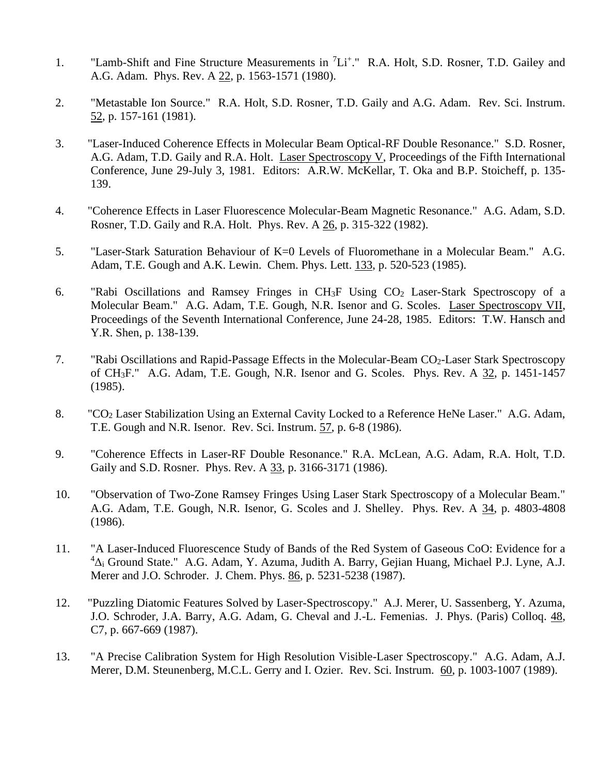- 1. "Lamb-Shift and Fine Structure Measurements in <sup>7</sup>Li<sup>+</sup>." R.A. Holt, S.D. Rosner, T.D. Gailey and A.G. Adam. Phys. Rev. A 22, p. 1563-1571 (1980).
- 2. "Metastable Ion Source." R.A. Holt, S.D. Rosner, T.D. Gaily and A.G. Adam. Rev. Sci. Instrum. 52, p. 157-161 (1981).
- 3. "Laser-Induced Coherence Effects in Molecular Beam Optical-RF Double Resonance." S.D. Rosner, A.G. Adam, T.D. Gaily and R.A. Holt. Laser Spectroscopy V, Proceedings of the Fifth International Conference, June 29-July 3, 1981. Editors: A.R.W. McKellar, T. Oka and B.P. Stoicheff, p. 135- 139.
- 4. "Coherence Effects in Laser Fluorescence Molecular-Beam Magnetic Resonance." A.G. Adam, S.D. Rosner, T.D. Gaily and R.A. Holt. Phys. Rev. A 26, p. 315-322 (1982).
- 5. "Laser-Stark Saturation Behaviour of K=0 Levels of Fluoromethane in a Molecular Beam." A.G. Adam, T.E. Gough and A.K. Lewin. Chem. Phys. Lett. 133, p. 520-523 (1985).
- 6. "Rabi Oscillations and Ramsey Fringes in  $CH_3F$  Using  $CO_2$  Laser-Stark Spectroscopy of a Molecular Beam." A.G. Adam, T.E. Gough, N.R. Isenor and G. Scoles. Laser Spectroscopy VII, Proceedings of the Seventh International Conference, June 24-28, 1985. Editors: T.W. Hansch and Y.R. Shen, p. 138-139.
- 7. "Rabi Oscillations and Rapid-Passage Effects in the Molecular-Beam CO2-Laser Stark Spectroscopy of CH3F." A.G. Adam, T.E. Gough, N.R. Isenor and G. Scoles. Phys. Rev. A 32, p. 1451-1457 (1985).
- 8. "CO<sup>2</sup> Laser Stabilization Using an External Cavity Locked to a Reference HeNe Laser." A.G. Adam, T.E. Gough and N.R. Isenor. Rev. Sci. Instrum. 57, p. 6-8 (1986).
- 9. "Coherence Effects in Laser-RF Double Resonance." R.A. McLean, A.G. Adam, R.A. Holt, T.D. Gaily and S.D. Rosner. Phys. Rev. A 33, p. 3166-3171 (1986).
- 10. "Observation of Two-Zone Ramsey Fringes Using Laser Stark Spectroscopy of a Molecular Beam." A.G. Adam, T.E. Gough, N.R. Isenor, G. Scoles and J. Shelley. Phys. Rev. A 34, p. 4803-4808 (1986).
- 11. "A Laser-Induced Fluorescence Study of Bands of the Red System of Gaseous CoO: Evidence for a  ${}^{4}\Delta$ i Ground State." A.G. Adam, Y. Azuma, Judith A. Barry, Gejian Huang, Michael P.J. Lyne, A.J. Merer and J.O. Schroder. J. Chem. Phys. 86, p. 5231-5238 (1987).
- 12. "Puzzling Diatomic Features Solved by Laser-Spectroscopy." A.J. Merer, U. Sassenberg, Y. Azuma, J.O. Schroder, J.A. Barry, A.G. Adam, G. Cheval and J.-L. Femenias. J. Phys. (Paris) Colloq. 48, C7, p. 667-669 (1987).
- 13. "A Precise Calibration System for High Resolution Visible-Laser Spectroscopy." A.G. Adam, A.J. Merer, D.M. Steunenberg, M.C.L. Gerry and I. Ozier. Rev. Sci. Instrum. 60, p. 1003-1007 (1989).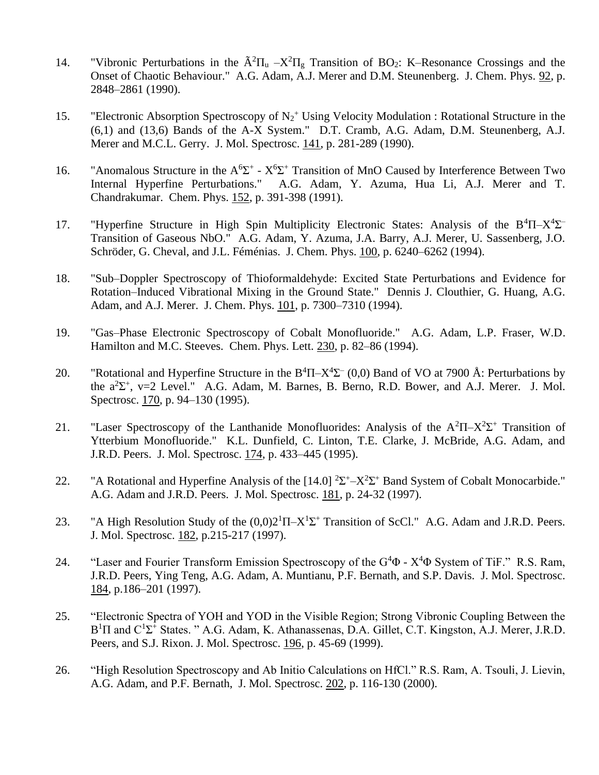- 14. "Vibronic Perturbations in the  $\tilde{A}^2\Pi_u X^2\Pi_g$  Transition of BO<sub>2</sub>: K–Resonance Crossings and the Onset of Chaotic Behaviour." A.G. Adam, A.J. Merer and D.M. Steunenberg. J. Chem. Phys. 92, p. 2848–2861 (1990).
- 15. "Electronic Absorption Spectroscopy of  $N_2$ <sup>+</sup> Using Velocity Modulation : Rotational Structure in the (6,1) and (13,6) Bands of the A-X System." D.T. Cramb, A.G. Adam, D.M. Steunenberg, A.J. Merer and M.C.L. Gerry. J. Mol. Spectrosc. 141, p. 281-289 (1990).
- 16. "Anomalous Structure in the  $A^6\Sigma^+$   $X^6\Sigma^+$  Transition of MnO Caused by Interference Between Two Internal Hyperfine Perturbations." A.G. Adam, Y. Azuma, Hua Li, A.J. Merer and T. Chandrakumar. Chem. Phys. 152, p. 391-398 (1991).
- 17. "Hyperfine Structure in High Spin Multiplicity Electronic States: Analysis of the B<sup>4</sup>Π-X<sup>4</sup>Σ<sup>-</sup> Transition of Gaseous NbO." A.G. Adam, Y. Azuma, J.A. Barry, A.J. Merer, U. Sassenberg, J.O. Schröder, G. Cheval, and J.L. Féménias. J. Chem. Phys. 100, p. 6240–6262 (1994).
- 18. "Sub–Doppler Spectroscopy of Thioformaldehyde: Excited State Perturbations and Evidence for Rotation–Induced Vibrational Mixing in the Ground State." Dennis J. Clouthier, G. Huang, A.G. Adam, and A.J. Merer. J. Chem. Phys. 101, p. 7300–7310 (1994).
- 19. "Gas–Phase Electronic Spectroscopy of Cobalt Monofluoride." A.G. Adam, L.P. Fraser, W.D. Hamilton and M.C. Steeves. Chem. Phys. Lett. 230, p. 82–86 (1994).
- 20. "Rotational and Hyperfine Structure in the  $B^4\Pi X^4\Sigma$  (0,0) Band of VO at 7900 Å: Perturbations by the  $a^2\Sigma^+$ , v=2 Level." A.G. Adam, M. Barnes, B. Berno, R.D. Bower, and A.J. Merer. J. Mol. Spectrosc. 170, p. 94–130 (1995).
- 21. "Laser Spectroscopy of the Lanthanide Monofluorides: Analysis of the  $A^2\Pi X^2\Sigma^+$  Transition of Ytterbium Monofluoride." K.L. Dunfield, C. Linton, T.E. Clarke, J. McBride, A.G. Adam, and J.R.D. Peers. J. Mol. Spectrosc. 174, p. 433–445 (1995).
- 22. "A Rotational and Hyperfine Analysis of the [14.0]  $2\Sigma^+ X^2\Sigma^+$  Band System of Cobalt Monocarbide." A.G. Adam and J.R.D. Peers. J. Mol. Spectrosc. 181, p. 24-32 (1997).
- 23. "A High Resolution Study of the  $(0,0)2^1\Pi-X^1\Sigma^+$  Transition of ScCl." A.G. Adam and J.R.D. Peers. J. Mol. Spectrosc. 182, p.215-217 (1997).
- 24. "Laser and Fourier Transform Emission Spectroscopy of the  $G^4\Phi$   $X^4\Phi$  System of TiF." R.S. Ram, J.R.D. Peers, Ying Teng, A.G. Adam, A. Muntianu, P.F. Bernath, and S.P. Davis. J. Mol. Spectrosc. 184, p.186–201 (1997).
- 25. "Electronic Spectra of YOH and YOD in the Visible Region; Strong Vibronic Coupling Between the  $B<sup>1</sup>\Pi$  and  $C<sup>1</sup>\Sigma$ <sup>+</sup> States. " A.G. Adam, K. Athanassenas, D.A. Gillet, C.T. Kingston, A.J. Merer, J.R.D. Peers, and S.J. Rixon. J. Mol. Spectrosc. 196, p. 45-69 (1999).
- 26. "High Resolution Spectroscopy and Ab Initio Calculations on HfCl." R.S. Ram, A. Tsouli, J. Lievin, A.G. Adam, and P.F. Bernath, J. Mol. Spectrosc. 202, p. 116-130 (2000).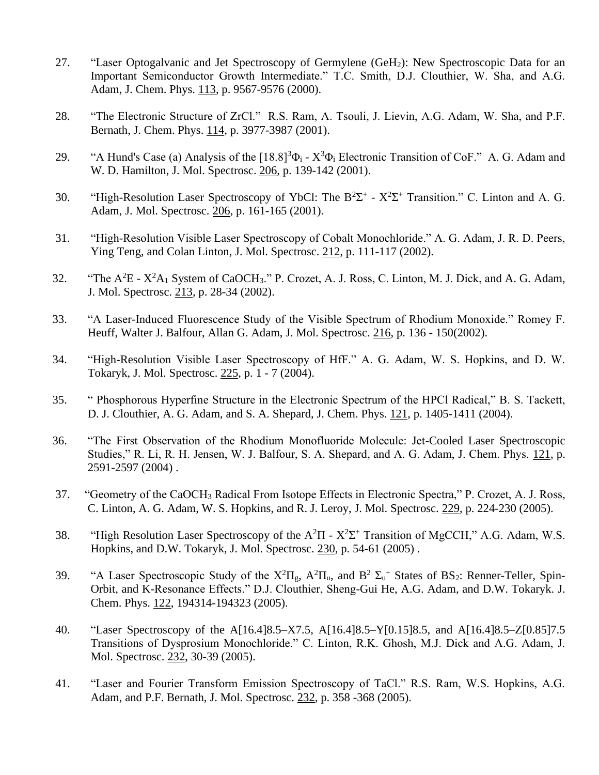- 27. "Laser Optogalvanic and Jet Spectroscopy of Germylene (GeH2): New Spectroscopic Data for an Important Semiconductor Growth Intermediate." T.C. Smith, D.J. Clouthier, W. Sha, and A.G. Adam, J. Chem. Phys. 113, p. 9567-9576 (2000).
- 28. "The Electronic Structure of ZrCl." R.S. Ram, A. Tsouli, J. Lievin, A.G. Adam, W. Sha, and P.F. Bernath, J. Chem. Phys. 114, p. 3977-3987 (2001).
- 29. "A Hund's Case (a) Analysis of the  $[18.8]^3\Phi_i X^3\Phi_i$  Electronic Transition of CoF." A. G. Adam and W. D. Hamilton, J. Mol. Spectrosc. 206, p. 139-142 (2001).
- 30. "High-Resolution Laser Spectroscopy of YbCl: The  $B^2\Sigma^+$   $X^2\Sigma^+$  Transition." C. Linton and A. G. Adam, J. Mol. Spectrosc. 206, p. 161-165 (2001).
- 31. "High-Resolution Visible Laser Spectroscopy of Cobalt Monochloride." A. G. Adam, J. R. D. Peers, Ying Teng, and Colan Linton, J. Mol. Spectrosc. 212, p. 111-117 (2002).
- 32. "The  $A^2E X^2A_1$  System of CaOCH<sub>3</sub>." P. Crozet, A. J. Ross, C. Linton, M. J. Dick, and A. G. Adam, J. Mol. Spectrosc. 213, p. 28-34 (2002).
- 33. "A Laser-Induced Fluorescence Study of the Visible Spectrum of Rhodium Monoxide." Romey F. Heuff, Walter J. Balfour, Allan G. Adam, J. Mol. Spectrosc. 216, p. 136 - 150(2002).
- 34. "High-Resolution Visible Laser Spectroscopy of HfF." A. G. Adam, W. S. Hopkins, and D. W. Tokaryk, J. Mol. Spectrosc. 225, p. 1 - 7 (2004).
- 35. " Phosphorous Hyperfine Structure in the Electronic Spectrum of the HPCl Radical," B. S. Tackett, D. J. Clouthier, A. G. Adam, and S. A. Shepard, J. Chem. Phys. 121, p. 1405-1411 (2004).
- 36. "The First Observation of the Rhodium Monofluoride Molecule: Jet-Cooled Laser Spectroscopic Studies," R. Li, R. H. Jensen, W. J. Balfour, S. A. Shepard, and A. G. Adam, J. Chem. Phys. 121, p. 2591-2597 (2004) .
- 37. "Geometry of the CaOCH<sup>3</sup> Radical From Isotope Effects in Electronic Spectra," P. Crozet, A. J. Ross, C. Linton, A. G. Adam, W. S. Hopkins, and R. J. Leroy, J. Mol. Spectrosc. 229, p. 224-230 (2005).
- 38. "High Resolution Laser Spectroscopy of the  $A^2\Pi X^2\Sigma^+$  Transition of MgCCH," A.G. Adam, W.S. Hopkins, and D.W. Tokaryk, J. Mol. Spectrosc. 230, p. 54-61 (2005) .
- 39. "A Laser Spectroscopic Study of the  $X^2\Pi_g$ ,  $A^2\Pi_u$ , and  $B^2 \Sigma_u^+$  States of BS<sub>2</sub>: Renner-Teller, Spin-Orbit, and K-Resonance Effects." D.J. Clouthier, Sheng-Gui He, A.G. Adam, and D.W. Tokaryk. J. Chem. Phys. 122, 194314-194323 (2005).
- 40. "Laser Spectroscopy of the A[16.4]8.5–X7.5, A[16.4]8.5–Y[0.15]8.5, and A[16.4]8.5–Z[0.85]7.5 Transitions of Dysprosium Monochloride." C. Linton, R.K. Ghosh, M.J. Dick and A.G. Adam, J. Mol. Spectrosc. 232, 30-39 (2005).
- 41. "Laser and Fourier Transform Emission Spectroscopy of TaCl." R.S. Ram, W.S. Hopkins, A.G. Adam, and P.F. Bernath, J. Mol. Spectrosc. 232, p. 358 -368 (2005).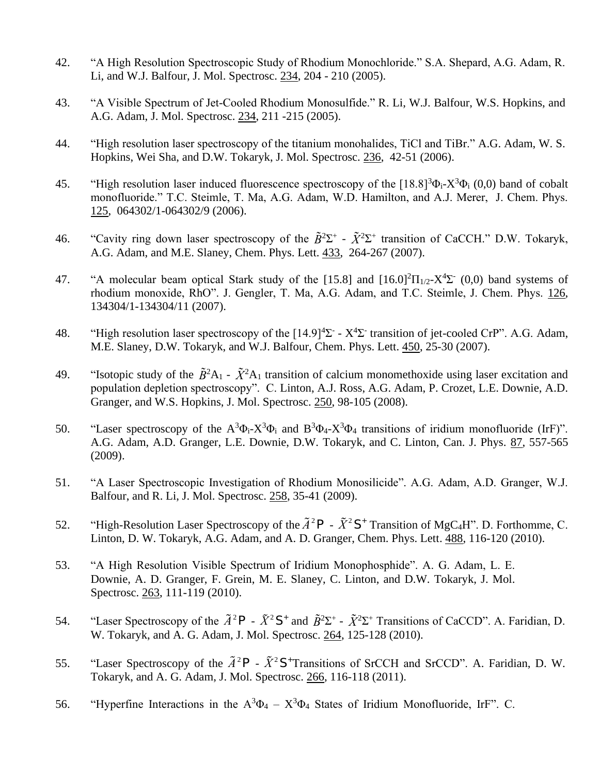- 42. "A High Resolution Spectroscopic Study of Rhodium Monochloride." S.A. Shepard, A.G. Adam, R. Li, and W.J. Balfour, J. Mol. Spectrosc. 234, 204 - 210 (2005).
- 43. "A Visible Spectrum of Jet-Cooled Rhodium Monosulfide." R. Li, W.J. Balfour, W.S. Hopkins, and A.G. Adam, J. Mol. Spectrosc. 234, 211 -215 (2005).
- 44. "High resolution laser spectroscopy of the titanium monohalides, TiCl and TiBr." A.G. Adam, W. S. Hopkins, Wei Sha, and D.W. Tokaryk, J. Mol. Spectrosc. 236, 42-51 (2006).
- 45. "High resolution laser induced fluorescence spectroscopy of the  $[18.8]^3\Phi_i X^3\Phi_i$  (0,0) band of cobalt monofluoride." T.C. Steimle, T. Ma, A.G. Adam, W.D. Hamilton, and A.J. Merer, J. Chem. Phys. 125, 064302/1-064302/9 (2006).
- 46. "Cavity ring down laser spectroscopy of the  $\tilde{B}^2\Sigma^+$   $\tilde{X}^2\Sigma^+$  transition of CaCCH." D.W. Tokaryk, A.G. Adam, and M.E. Slaney, Chem. Phys. Lett. 433, 264-267 (2007).
- rhodium monoxide, RhO". J. Gengler, T. Ma, A.G. Adam, and T.C. Steimle, J. Chem. Phys. 126, 47. "A molecular beam optical Stark study of the [15.8] and  $[16.0]^2\Pi_{1/2}X^4\Sigma (0,0)$  band systems of 134304/1-134304/11 (2007).
- 48. "High resolution laser spectroscopy of the  $[14.9]^4\Sigma$   $X^4\Sigma$  transition of jet-cooled CrP". A.G. Adam, M.E. Slaney, D.W. Tokaryk, and W.J. Balfour, Chem. Phys. Lett. 450, 25-30 (2007).
- 49. "Isotopic study of the  $\tilde{B}^2A_1 \tilde{X}^2A_1$  transition of calcium monomethoxide using laser excitation and population depletion spectroscopy". C. Linton, A.J. Ross, A.G. Adam, P. Crozet, L.E. Downie, A.D. Granger, and W.S. Hopkins, J. Mol. Spectrosc. 250, 98-105 (2008).
- 50. "Laser spectroscopy of the  $A^3\Phi_i X^3\Phi_i$  and  $B^3\Phi_4 X^3\Phi_4$  transitions of iridium monofluoride (IrF)". A.G. Adam, A.D. Granger, L.E. Downie, D.W. Tokaryk, and C. Linton, Can. J. Phys. 87, 557-565 (2009).
- 51. "A Laser Spectroscopic Investigation of Rhodium Monosilicide". A.G. Adam, A.D. Granger, W.J. Balfour, and R. Li, J. Mol. Spectrosc. 258, 35-41 (2009).
- 52. "High-Resolution Laser Spectroscopy of the  $\tilde{A}^2P \tilde{X}^2S^+$  Transition of MgC<sub>4</sub>H". D. Forthomme, C. Linton, D. W. Tokaryk, A.G. Adam, and A. D. Granger, Chem. Phys. Lett. 488, 116-120 (2010).
- 53. "A High Resolution Visible Spectrum of Iridium Monophosphide". A. G. Adam, L. E. Downie, A. D. Granger, F. Grein, M. E. Slaney, C. Linton, and D.W. Tokaryk, J. Mol. Spectrosc. 263, 111-119 (2010).
- 54. "Laser Spectroscopy of the  $\tilde{A}^2 \rho$   $\tilde{X}^2 S^+$  and  $\tilde{B}^2 \Sigma^+$   $\tilde{X}^2 \Sigma^+$  Transitions of CaCCD". A. Faridian, D. W. Tokaryk, and A. G. Adam, J. Mol. Spectrosc. 264, 125-128 (2010).
- Tokaryk, and A. G. Adam, J. Mol. Spectrosc. 266, 116-118 (2011). 55. "Laser Spectroscopy of the  $\tilde{A}^2$ P -  $\tilde{X}^2$ S<sup>+</sup>Transitions of SrCCH and SrCCD". A. Faridian, D. W.
- 56. "Hyperfine Interactions in the  $A^3\Phi_4 X^3\Phi_4$  States of Iridium Monofluoride, IrF". C.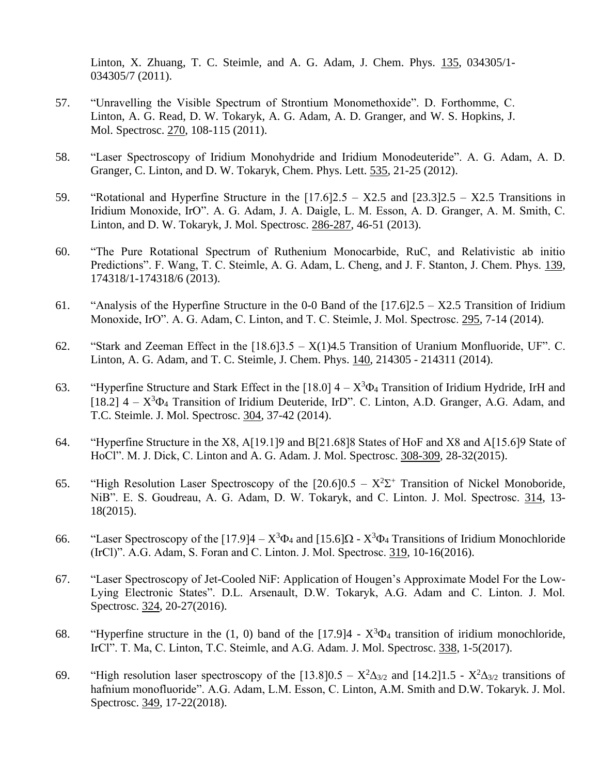Linton, X. Zhuang, T. C. Steimle, and A. G. Adam, J. Chem. Phys. 135, 034305/1- 034305/7 (2011).

- 57. "Unravelling the Visible Spectrum of Strontium Monomethoxide". D. Forthomme, C. Linton, A. G. Read, D. W. Tokaryk, A. G. Adam, A. D. Granger, and W. S. Hopkins, J. Mol. Spectrosc. 270, 108-115 (2011).
- 58. "Laser Spectroscopy of Iridium Monohydride and Iridium Monodeuteride". A. G. Adam, A. D. Granger, C. Linton, and D. W. Tokaryk, Chem. Phys. Lett. 535, 21-25 (2012).
- 59. "Rotational and Hyperfine Structure in the  $[17.6]2.5 X2.5$  and  $[23.3]2.5 X2.5$  Transitions in Iridium Monoxide, IrO". A. G. Adam, J. A. Daigle, L. M. Esson, A. D. Granger, A. M. Smith, C. Linton, and D. W. Tokaryk, J. Mol. Spectrosc. 286-287, 46-51 (2013).
- 60. "The Pure Rotational Spectrum of Ruthenium Monocarbide, RuC, and Relativistic ab initio Predictions". F. Wang, T. C. Steimle, A. G. Adam, L. Cheng, and J. F. Stanton, J. Chem. Phys. 139, 174318/1-174318/6 (2013).
- 61. "Analysis of the Hyperfine Structure in the 0-0 Band of the [17.6]2.5 X2.5 Transition of Iridium Monoxide, IrO". A. G. Adam, C. Linton, and T. C. Steimle, J. Mol. Spectrosc. 295, 7-14 (2014).
- 62. "Stark and Zeeman Effect in the [18.6]3.5 X(1)4.5 Transition of Uranium Monfluoride, UF". C. Linton, A. G. Adam, and T. C. Steimle, J. Chem. Phys. 140, 214305 - 214311 (2014).
- 63. "Hyperfine Structure and Stark Effect in the [18.0]  $4 X^3\Phi_4$  Transition of Iridium Hydride, IrH and [18.2]  $4 - X^3\Phi_4$  Transition of Iridium Deuteride, IrD". C. Linton, A.D. Granger, A.G. Adam, and T.C. Steimle. J. Mol. Spectrosc. 304, 37-42 (2014).
- 64. "Hyperfine Structure in the X8, A[19.1]9 and B[21.68]8 States of HoF and X8 and A[15.6]9 State of HoCl". M. J. Dick, C. Linton and A. G. Adam. J. Mol. Spectrosc. 308-309, 28-32(2015).
- 65. "High Resolution Laser Spectroscopy of the  $[20.6]0.5 X^2\Sigma^+$  Transition of Nickel Monoboride, NiB". E. S. Goudreau, A. G. Adam, D. W. Tokaryk, and C. Linton. J. Mol. Spectrosc. 314, 13- 18(2015).
- 66. "Laser Spectroscopy of the [17.9] $4 X^3\Phi_4$  and [15.6] $\Omega$   $X^3\Phi_4$  Transitions of Iridium Monochloride (IrCl)". A.G. Adam, S. Foran and C. Linton. J. Mol. Spectrosc. 319, 10-16(2016).
- 67. "Laser Spectroscopy of Jet-Cooled NiF: Application of Hougen's Approximate Model For the Low-Lying Electronic States". D.L. Arsenault, D.W. Tokaryk, A.G. Adam and C. Linton. J. Mol. Spectrosc. 324, 20-27(2016).
- 68. "Hyperfine structure in the  $(1, 0)$  band of the [17.9]4  $X^3\Phi_4$  transition of iridium monochloride, IrCl". T. Ma, C. Linton, T.C. Steimle, and A.G. Adam. J. Mol. Spectrosc. 338, 1-5(2017).
- 69. "High resolution laser spectroscopy of the [13.8]  $0.5 X^2 \Delta_{3/2}$  and [14.2]  $1.5 X^2 \Delta_{3/2}$  transitions of hafnium monofluoride". A.G. Adam, L.M. Esson, C. Linton, A.M. Smith and D.W. Tokaryk. J. Mol. Spectrosc. 349, 17-22(2018).